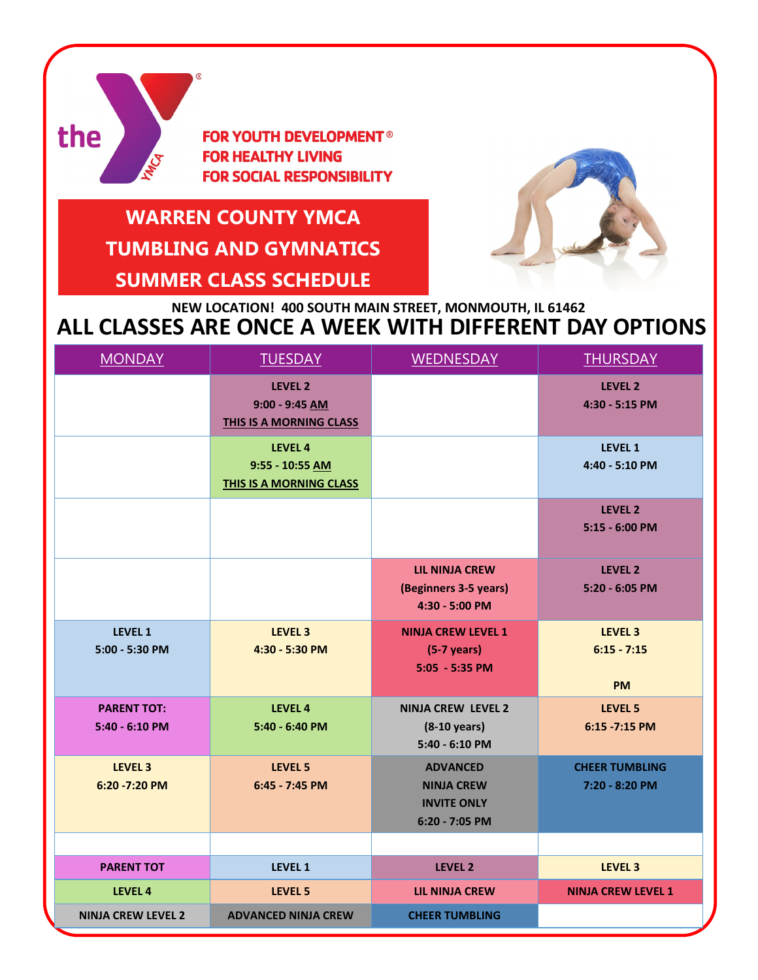

**FOR YOUTH DEVELOPMENT<sup>®</sup> FOR HEALTHY LIVING FOR SOCIAL RESPONSIBILITY** 

# **WARREN COUNTY YMCA TUMBLING AND GYMNATICS SUMMER CLASS SCHEDULE**



## **ALL CLASSES ARE ONCE A WEEK WITH DIFFERENT DAY OPTIONS NEW LOCATION! 400 SOUTH MAIN STREET, MONMOUTH, IL 61462**

| <b>MONDAY</b>                          | <b>TUESDAY</b>                                                | <b>WEDNESDAY</b>                                                             | <b>THURSDAY</b>                                  |
|----------------------------------------|---------------------------------------------------------------|------------------------------------------------------------------------------|--------------------------------------------------|
|                                        | <b>LEVEL 2</b><br>$9:00 - 9:45$ AM<br>THIS IS A MORNING CLASS |                                                                              | LEVEL 2<br>4:30 - 5:15 PM                        |
|                                        | LEVEL 4<br>9:55 - 10:55 AM<br><b>THIS IS A MORNING CLASS</b>  |                                                                              | <b>LEVEL 1</b><br>4:40 - 5:10 PM                 |
|                                        |                                                               |                                                                              | LEVEL 2<br>5:15 - 6:00 PM                        |
|                                        |                                                               | <b>LIL NINJA CREW</b><br>(Beginners 3-5 years)<br>4:30 - 5:00 PM             | LEVEL <sub>2</sub><br>5:20 - 6:05 PM             |
| <b>LEVEL 1</b><br>5:00 - 5:30 PM       | LEVEL <sub>3</sub><br>4:30 - 5:30 PM                          | <b>NINJA CREW LEVEL 1</b><br>$(5-7 \text{ years})$<br>$5:05 - 5:35$ PM       | LEVEL <sub>3</sub><br>$6:15 - 7:15$<br><b>PM</b> |
| <b>PARENT TOT:</b><br>$5:40 - 6:10$ PM | LEVEL 4<br>5:40 - 6:40 PM                                     | <b>NINJA CREW LEVEL 2</b><br>$(8-10 \text{ years})$<br>5:40 - 6:10 PM        | LEVEL 5<br>6:15 - 7:15 PM                        |
| LEVEL <sub>3</sub><br>6:20 -7:20 PM    | LEVEL 5<br>6:45 - 7:45 PM                                     | <b>ADVANCED</b><br><b>NINJA CREW</b><br><b>INVITE ONLY</b><br>6:20 - 7:05 PM | <b>CHEER TUMBLING</b><br>7:20 - 8:20 PM          |
|                                        |                                                               |                                                                              |                                                  |
| <b>PARENT TOT</b><br>LEVEL 4           | <b>LEVEL 1</b><br>LEVEL 5                                     | <b>LEVEL 2</b><br><b>LIL NINJA CREW</b>                                      | LEVEL <sub>3</sub><br><b>NINJA CREW LEVEL 1</b>  |
| <b>NINJA CREW LEVEL 2</b>              | <b>ADVANCED NINJA CREW</b>                                    | <b>CHEER TUMBLING</b>                                                        |                                                  |